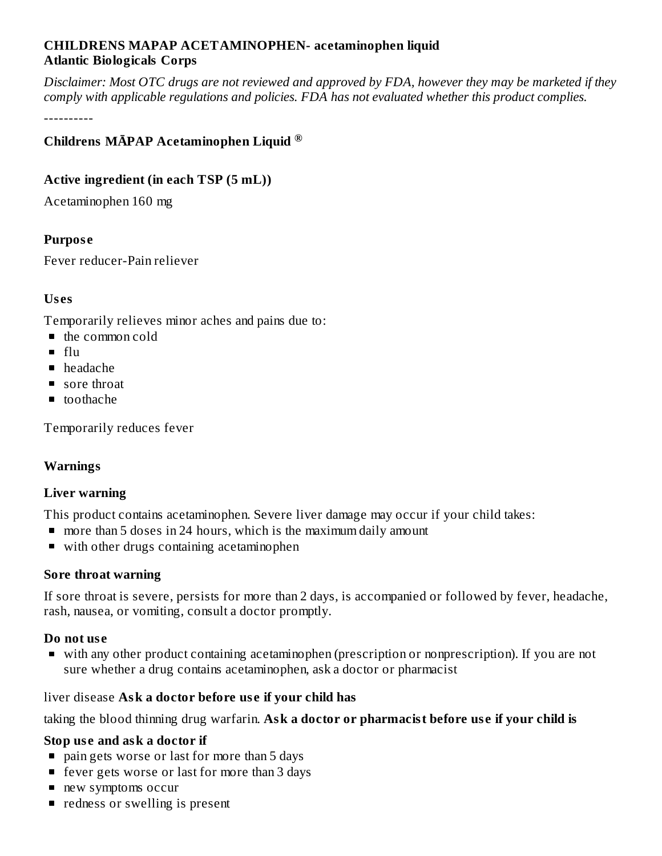#### **CHILDRENS MAPAP ACETAMINOPHEN- acetaminophen liquid Atlantic Biologicals Corps**

Disclaimer: Most OTC drugs are not reviewed and approved by FDA, however they may be marketed if they *comply with applicable regulations and policies. FDA has not evaluated whether this product complies.*

----------

## **Childrens MĀPAP Acetaminophen Liquid ®**

### **Active ingredient (in each TSP (5 mL))**

Acetaminophen 160 mg

## **Purpos e**

Fever reducer-Pain reliever

## **Us es**

Temporarily relieves minor aches and pains due to:

- the common cold
- $f<sub>ln</sub>$
- headache
- sore throat
- toothache

Temporarily reduces fever

#### **Warnings**

#### **Liver warning**

This product contains acetaminophen. Severe liver damage may occur if your child takes:

- more than 5 doses in 24 hours, which is the maximum daily amount
- with other drugs containing acetaminophen

#### **Sore throat warning**

If sore throat is severe, persists for more than 2 days, is accompanied or followed by fever, headache, rash, nausea, or vomiting, consult a doctor promptly.

#### **Do not us e**

with any other product containing acetaminophen (prescription or nonprescription). If you are not sure whether a drug contains acetaminophen, ask a doctor or pharmacist

#### liver disease **Ask a doctor before us e if your child has**

taking the blood thinning drug warfarin. **Ask a doctor or pharmacist before us e if your child is**

#### **Stop us e and ask a doctor if**

- pain gets worse or last for more than 5 days
- fever gets worse or last for more than 3 days
- new symptoms occur
- **•** redness or swelling is present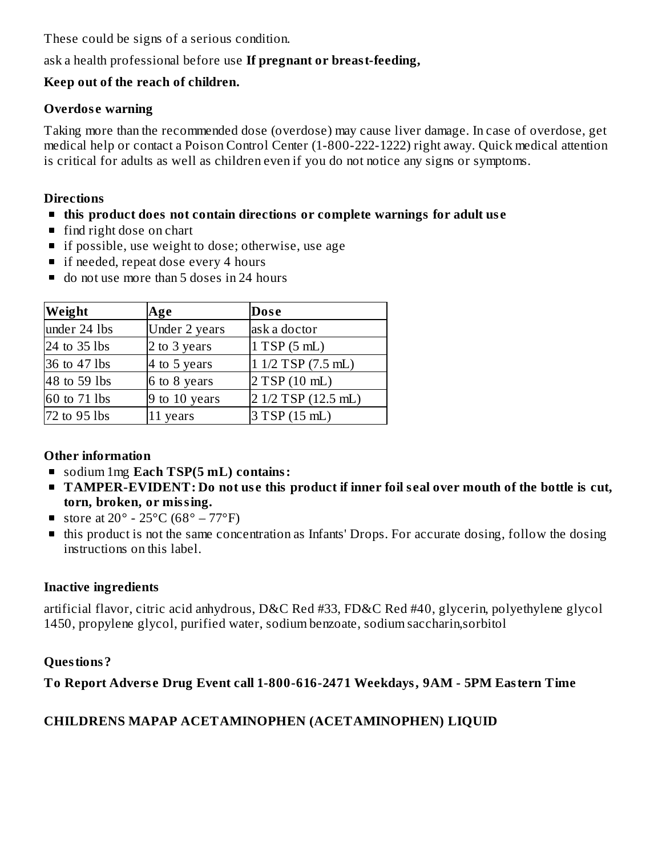These could be signs of a serious condition.

## ask a health professional before use **If pregnant or breast-feeding,**

## **Keep out of the reach of children.**

## **Overdos e warning**

Taking more than the recommended dose (overdose) may cause liver damage. In case of overdose, get medical help or contact a Poison Control Center (1-800-222-1222) right away. Quick medical attention is critical for adults as well as children even if you do not notice any signs or symptoms.

### **Directions**

- **this product does not contain directions or complete warnings for adult us e**
- find right dose on chart
- **if possible, use weight to dose; otherwise, use age**
- if needed, repeat dose every 4 hours
- do not use more than 5 doses in 24 hours

| Weight       | Age           | Dose                |
|--------------|---------------|---------------------|
| under 24 lbs | Under 2 years | ask a doctor        |
| 24 to 35 lbs | 2 to 3 years  | 1 TSP(5 mL)         |
| 36 to 47 lbs | 4 to 5 years  | $11/2$ TSP (7.5 mL) |
| 48 to 59 lbs | 6 to 8 years  | 2 TSP(10 mL)        |
| 60 to 71 lbs | 9 to 10 years | 2 1/2 TSP (12.5 mL) |
| 72 to 95 lbs | 11 years      | 3 TSP(15 mL)        |

# **Other information**

- sodium 1mg **Each TSP(5 mL) contains:**
- TAMPER-EVIDENT: Do not use this product if inner foil seal over mouth of the bottle is cut, **torn, broken, or missing.**
- store at  $20^{\circ}$   $25^{\circ}$ C (68° 77°F)
- **this product is not the same concentration as Infants' Drops. For accurate dosing, follow the dosing** instructions on this label.

# **Inactive ingredients**

artificial flavor, citric acid anhydrous, D&C Red #33, FD&C Red #40, glycerin, polyethylene glycol 1450, propylene glycol, purified water, sodium benzoate, sodium saccharin,sorbitol

# **Questions?**

# **To Report Advers e Drug Event call 1-800-616-2471 Weekdays, 9AM - 5PM Eastern Time**

# **CHILDRENS MAPAP ACETAMINOPHEN (ACETAMINOPHEN) LIQUID**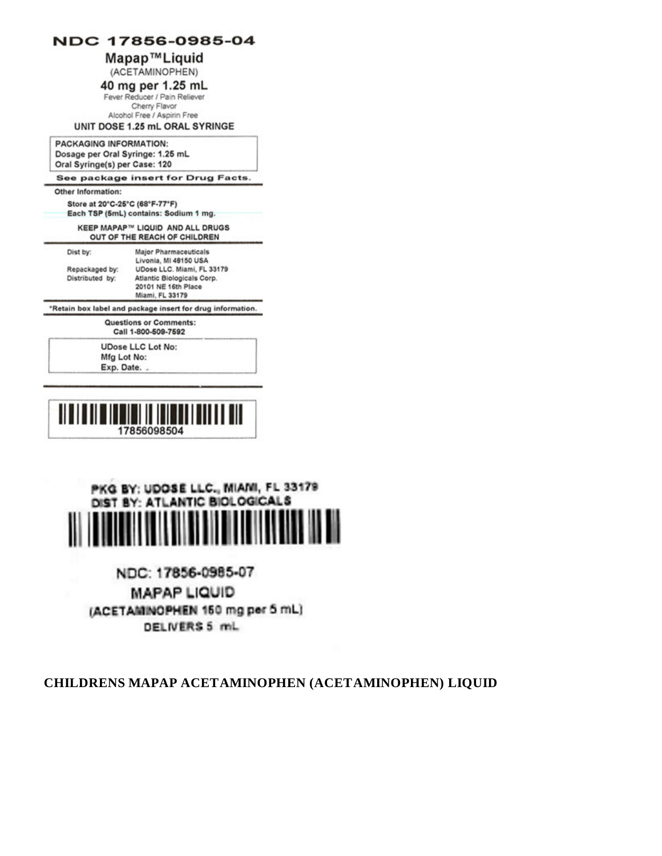#### NDC 17856-0985-04

#### Mapap™Liquid

(ACETAMINOPHEN)

40 mg per 1.25 mL

Fever Reducer / Pain Reliever Cherry Flavor Alcohol Free / Aspirin Free

#### UNIT DOSE 1.25 mL ORAL SYRINGE

PACKAGING INFORMATION: Dosage per Oral Syringe: 1.25 mL Oral Syringe(s) per Case: 120

See package insert for Drug Facts.

#### Other Information:

Store at 20°C-25°C (68°F-77°F) Each TSP (5mL) contains: Sodium 1 mg.

**KEEP MAPAP™ LIQUID AND ALL DRUGS** OUT OF THE REACH OF CHILDREN

Dist by:

Livonia, MI 48150 USA UDose LLC. Miami, FL 33179 Repackaged by: Distributed by: Atlantic Biologicals Corp. 20101 NE 16th Place Miami, FL 33179

Major Pharmaceuticals

\*Retain box label and package insert for drug information.

Questions or Comments: Call 1-800-509-7592

**UDose LLC Lot No:** Mfg Lot No: Exp. Date.





NDC: 17856-0985-07 **MAPAP LIQUID** (ACETAMINOPHEN 150 mg per 5 mL) DELIVERS 5 mL

CHILDRENS MAPAP ACETAMINOPHEN (ACETAMINOPHEN) LIQUID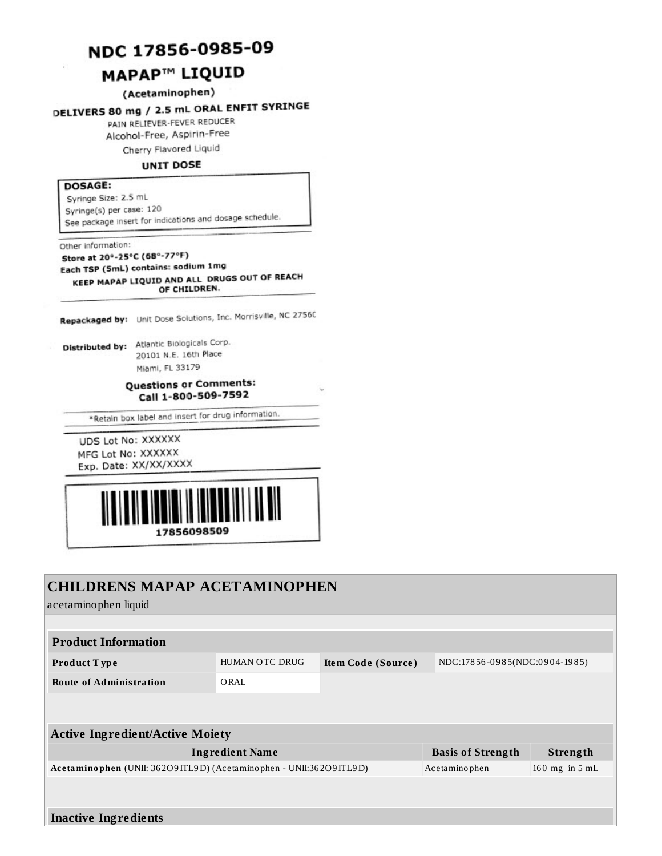# NDC 17856-0985-09

# **MAPAP<sup>™</sup> LIQUID**

#### (Acetaminophen)

# DELIVERS 80 mg / 2.5 mL ORAL ENFIT SYRINGE

PAIN RELIEVER-FEVER REDUCER

Alcohol-Free, Aspirin-Free

Cherry Flavored Liquid

#### **UNIT DOSE**

#### **DOSAGE:**

Syringe Size: 2.5 mL Syringe(s) per case: 120 See package insert for indications and dosage schedule.

Other information:

Store at 20°-25°C (68°-77°F) Each TSP (5mL) contains: sodium 1mg KEEP MAPAP LIQUID AND ALL DRUGS OUT OF REACH OF CHILDREN.

Repackaged by: Unit Dose Sciutions, Inc. Morrisville, NC 27560

Distributed by: Atlantic Biologicals Corp. 20101 N.E. 16th Place Miami, FL 33179

#### **Questions or Comments:** Call 1-800-509-7592

\*Retain box label and insert for drug information.

UDS Lot No: XXXXXX MFG Lot No: XXXXXX Exp. Date: XX/XX/XXXX



# **CHILDRENS MAPAP ACETAMINOPHEN**

acetaminophen liquid

| <b>Product Information</b>                                           |                       |                                                     |                          |                    |  |
|----------------------------------------------------------------------|-----------------------|-----------------------------------------------------|--------------------------|--------------------|--|
| Product Type                                                         | <b>HUMAN OTC DRUG</b> | NDC:17856-0985(NDC:0904-1985)<br>Item Code (Source) |                          |                    |  |
| <b>Route of Administration</b>                                       | ORAL                  |                                                     |                          |                    |  |
|                                                                      |                       |                                                     |                          |                    |  |
| <b>Active Ingredient/Active Moiety</b>                               |                       |                                                     |                          |                    |  |
| <b>Ingredient Name</b>                                               |                       |                                                     | <b>Basis of Strength</b> | Strength           |  |
| Acetaminophen (UNII: 36209 ITL9D) (Acetaminophen - UNII:36209 ITL9D) |                       |                                                     | Acetaminophen            | $160$ mg in $5$ mL |  |
|                                                                      |                       |                                                     |                          |                    |  |
|                                                                      |                       |                                                     |                          |                    |  |

**Inactive Ingredients**